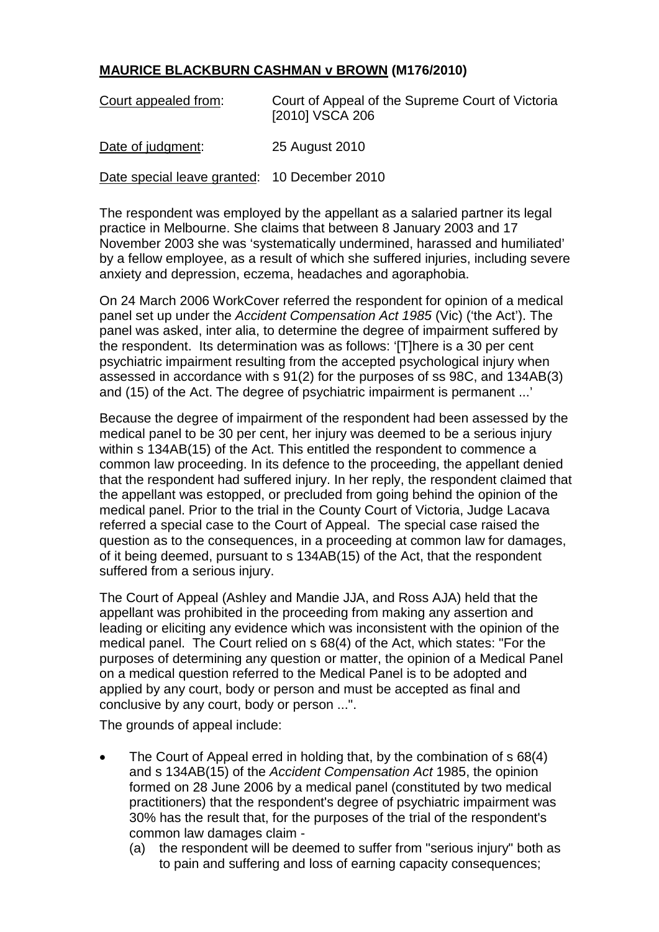## **MAURICE BLACKBURN CASHMAN v BROWN (M176/2010)**

| Court appealed from:                         | Court of Appeal of the Supreme Court of Victoria<br>[2010] VSCA 206 |
|----------------------------------------------|---------------------------------------------------------------------|
| Date of judgment:                            | 25 August 2010                                                      |
| Date special leave granted: 10 December 2010 |                                                                     |

The respondent was employed by the appellant as a salaried partner its legal practice in Melbourne. She claims that between 8 January 2003 and 17 November 2003 she was 'systematically undermined, harassed and humiliated' by a fellow employee, as a result of which she suffered injuries, including severe anxiety and depression, eczema, headaches and agoraphobia.

On 24 March 2006 WorkCover referred the respondent for opinion of a medical panel set up under the *Accident Compensation Act 1985* (Vic) ('the Act'). The panel was asked, inter alia, to determine the degree of impairment suffered by the respondent. Its determination was as follows: '[T]here is a 30 per cent psychiatric impairment resulting from the accepted psychological injury when assessed in accordance with s 91(2) for the purposes of ss 98C, and 134AB(3) and (15) of the Act. The degree of psychiatric impairment is permanent ...'

Because the degree of impairment of the respondent had been assessed by the medical panel to be 30 per cent, her injury was deemed to be a serious injury within s 134AB(15) of the Act. This entitled the respondent to commence a common law proceeding. In its defence to the proceeding, the appellant denied that the respondent had suffered injury. In her reply, the respondent claimed that the appellant was estopped, or precluded from going behind the opinion of the medical panel. Prior to the trial in the County Court of Victoria, Judge Lacava referred a special case to the Court of Appeal. The special case raised the question as to the consequences, in a proceeding at common law for damages, of it being deemed, pursuant to s 134AB(15) of the Act, that the respondent suffered from a serious injury.

The Court of Appeal (Ashley and Mandie JJA, and Ross AJA) held that the appellant was prohibited in the proceeding from making any assertion and leading or eliciting any evidence which was inconsistent with the opinion of the medical panel. The Court relied on s 68(4) of the Act, which states: "For the purposes of determining any question or matter, the opinion of a Medical Panel on a medical question referred to the Medical Panel is to be adopted and applied by any court, body or person and must be accepted as final and conclusive by any court, body or person ...".

The grounds of appeal include:

- The Court of Appeal erred in holding that, by the combination of s 68(4) and s 134AB(15) of the *Accident Compensation Act* 1985, the opinion formed on 28 June 2006 by a medical panel (constituted by two medical practitioners) that the respondent's degree of psychiatric impairment was 30% has the result that, for the purposes of the trial of the respondent's common law damages claim -
	- (a) the respondent will be deemed to suffer from "serious injury" both as to pain and suffering and loss of earning capacity consequences;